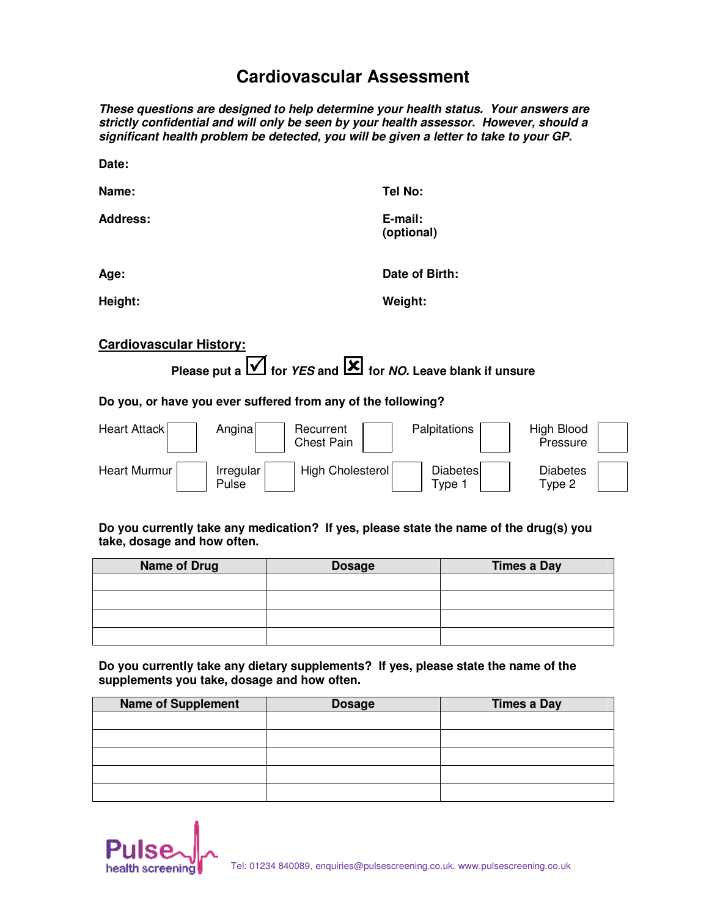# **Cardiovascular Assessment**

**These questions are designed to help determine your health status. Your answers are strictly confidential and will only be seen by your health assessor. However, should a significant health problem be detected, you will be given a letter to take to your GP.** 

| Date:           |                       |
|-----------------|-----------------------|
| Name:           | <b>Tel No:</b>        |
| <b>Address:</b> | E-mail:<br>(optional) |
| Age:            | Date of Birth:        |

**Height: Weight:**

### **Cardiovascular History:**

**Please put afor YES andfor NO. Leave blank if unsure**

#### **Do you, or have you ever suffered from any of the following?**

| Heart Attack | Anginal            | Recurrent<br>Chest Pain | <b>Palpitations</b>     | High Blood<br>Pressure    |
|--------------|--------------------|-------------------------|-------------------------|---------------------------|
| Heart Murmur | Irregular<br>Pulse | High Cholesterol        | <b>Diabetes</b><br>Tvpe | <b>Diabetes</b><br>Type 2 |

#### **Do you currently take any medication? If yes, please state the name of the drug(s) you take, dosage and how often.**

| <b>Name of Drug</b> | <b>Dosage</b> | <b>Times a Day</b> |
|---------------------|---------------|--------------------|
|                     |               |                    |
|                     |               |                    |
|                     |               |                    |
|                     |               |                    |

**Do you currently take any dietary supplements? If yes, please state the name of the supplements you take, dosage and how often.** 

| <b>Name of Supplement</b> | <b>Dosage</b> | <b>Times a Day</b> |
|---------------------------|---------------|--------------------|
|                           |               |                    |
|                           |               |                    |
|                           |               |                    |
|                           |               |                    |
|                           |               |                    |